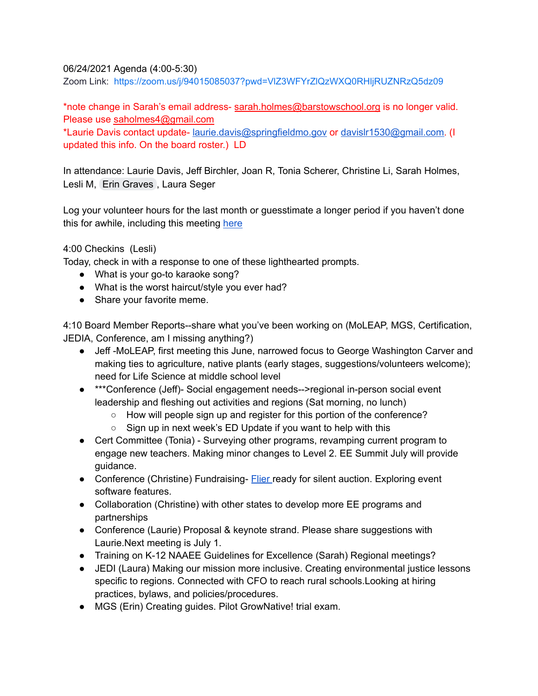# 06/24/2021 Agenda (4:00-5:30)

Zoom Link: <https://zoom.us/j/94015085037?pwd=VlZ3WFYrZlQzWXQ0RHljRUZNRzQ5dz09>

\*note change in Sarah's email address- [sarah.holmes@barstowschool.org](mailto:sarah.holmes@barstowschool.org) is no longer valid. Please use [saholmes4@gmail.com](mailto:saholmes4@gmail.com)

\*Laurie Davis contact update- [laurie.davis@springfieldmo.gov](mailto:laurie.davis@springfieldmo.gov) or [davislr1530@gmail.com.](mailto:davislr1530@gmail.com) (I updated this info. On the board roster.) LD

In attendance: Laurie Davis, Jeff Birchler, Joan R, Tonia Scherer, Christine Li, Sarah Holmes, Lesli M, Erin [Graves](mailto:egraves@dunklin.k12.mo.us) , Laura Seger

Log your volunteer hours for the last month or guesstimate a longer period if you haven't done this for awhile, including this meeting [here](https://docs.google.com/forms/d/e/1FAIpQLSeyGs3BdG_sxFAGpjjXzRryj-8Os6pPqOvRnoMgrYpaisbrkw/viewform?usp=sf_link)

# 4:00 Checkins (Lesli)

Today, check in with a response to one of these lighthearted prompts.

- What is your go-to karaoke song?
- What is the worst haircut/style you ever had?
- Share your favorite meme.

4:10 Board Member Reports--share what you've been working on (MoLEAP, MGS, Certification, JEDIA, Conference, am I missing anything?)

- Jeff -MoLEAP, first meeting this June, narrowed focus to George Washington Carver and making ties to agriculture, native plants (early stages, suggestions/volunteers welcome); need for Life Science at middle school level
- \*\*\*Conference (Jeff)- Social engagement needs-->regional in-person social event leadership and fleshing out activities and regions (Sat morning, no lunch)
	- How will people sign up and register for this portion of the conference?
	- Sign up in next week's ED Update if you want to help with this
- Cert Committee (Tonia) Surveying other programs, revamping current program to engage new teachers. Making minor changes to Level 2. EE Summit July will provide guidance.
- Conference (Christine) Fundraising- **[Flier](https://drive.google.com/file/d/1rTTGKgr3uxIAuvdmJt_ztw-ZI9ZDVU-g/view?usp=sharing) ready for silent auction. Exploring event** software features.
- Collaboration (Christine) with other states to develop more EE programs and partnerships
- Conference (Laurie) Proposal & keynote strand. Please share suggestions with Laurie.Next meeting is July 1.
- Training on K-12 NAAEE Guidelines for Excellence (Sarah) Regional meetings?
- JEDI (Laura) Making our mission more inclusive. Creating environmental justice lessons specific to regions. Connected with CFO to reach rural schools.Looking at hiring practices, bylaws, and policies/procedures.
- MGS (Erin) Creating guides. Pilot GrowNative! trial exam.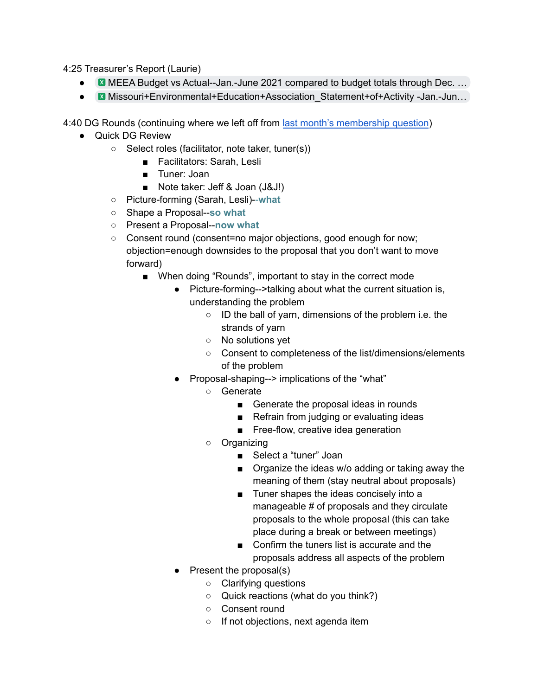4:25 Treasurer's Report (Laurie)

- $\bullet$  MEEA Budget vs [Actual--Jan.-June](https://drive.google.com/file/d/1C56DtfO2HGIUQvVxOA4kkevJ1LkeEaA_/view?usp=sharing) 2021 compared to budget totals through Dec.  $\dots$
- Missouri+Environmental+Education+Association Statement+of+Activity -Jan.-Jun…

4:40 DG Rounds (continuing where we left off from last month's [membership](https://docs.google.com/document/d/1IhhYdmV89Dsufm6kDS5UwnjT38V4rPLqsxrFRLQITco/edit?usp=sharing) question)

- Quick DG Review
	- Select roles (facilitator, note taker, tuner(s))
		- Facilitators: Sarah, Lesli
		- Tuner: Joan
		- Note taker: Jeff & Joan (J&J!)
	- Picture-forming (Sarah, Lesli)--**what**
	- Shape a Proposal--**so what**
	- Present a Proposal--**now what**
	- Consent round (consent=no major objections, good enough for now; objection=enough downsides to the proposal that you don't want to move forward)
		- When doing "Rounds", important to stay in the correct mode
			- Picture-forming-->talking about what the current situation is, understanding the problem
				- ID the ball of yarn, dimensions of the problem i.e. the strands of yarn
				- No solutions yet
				- Consent to completeness of the list/dimensions/elements of the problem
			- Proposal-shaping--> implications of the "what"
				- Generate
					- Generate the proposal ideas in rounds
					- Refrain from judging or evaluating ideas
					- Free-flow, creative idea generation
				- Organizing
					- Select a "tuner" Joan
					- Organize the ideas w/o adding or taking away the meaning of them (stay neutral about proposals)
					- Tuner shapes the ideas concisely into a manageable # of proposals and they circulate proposals to the whole proposal (this can take place during a break or between meetings)
					- Confirm the tuners list is accurate and the proposals address all aspects of the problem
			- Present the proposal(s)
				- Clarifying questions
				- Quick reactions (what do you think?)
				- Consent round
				- If not objections, next agenda item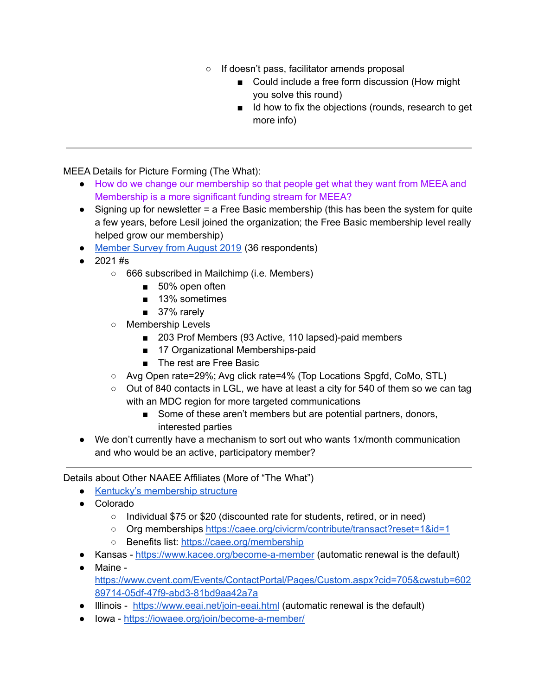- If doesn't pass, facilitator amends proposal
	- Could include a free form discussion (How might you solve this round)
	- Id how to fix the objections (rounds, research to get more info)

MEEA Details for Picture Forming (The What):

- How do we change our membership so that people get what they want from MEEA and Membership is a more significant funding stream for MEEA?
- $\bullet$  Signing up for newsletter = a Free Basic membership (this has been the system for quite a few years, before Lesil joined the organization; the Free Basic membership level really helped grow our membership)
- [Member](https://docs.google.com/document/d/1gBQIXTGUKJX-qlHe2Lhy9mRkqcIvisTTLabeNyXlTzU/edit) Survey from August 2019 (36 respondents)
- 2021 #s
	- 666 subscribed in Mailchimp (i.e. Members)
		- 50% open often
		- 13% sometimes
		- 37% rarely
	- Membership Levels
		- 203 Prof Members (93 Active, 110 lapsed)-paid members
		- 17 Organizational Memberships-paid
		- The rest are Free Basic
	- Avg Open rate=29%; Avg click rate=4% (Top Locations Spgfd, CoMo, STL)
	- $\circ$  Out of 840 contacts in LGL, we have at least a city for 540 of them so we can tag with an MDC region for more targeted communications
		- Some of these aren't members but are potential partners, donors, interested parties
- We don't currently have a mechanism to sort out who wants 1x/month communication and who would be an active, participatory member?

Details about Other NAAEE Affiliates (More of "The What")

- Kentucky's [membership](https://www.kaee.org/membership_levels.html) structure
- Colorado
	- Individual \$75 or \$20 (discounted rate for students, retired, or in need)
	- Org memberships <https://caee.org/civicrm/contribute/transact?reset=1&id=1>
	- Benefits list: <https://caee.org/membership>
- Kansas <https://www.kacee.org/become-a-member> (automatic renewal is the default)
- Maine [https://www.cvent.com/Events/ContactPortal/Pages/Custom.aspx?cid=705&cwstub=602](https://www.cvent.com/Events/ContactPortal/Pages/Custom.aspx?cid=705&cwstub=60289714-05df-47f9-abd3-81bd9aa42a7a) [89714-05df-47f9-abd3-81bd9aa42a7a](https://www.cvent.com/Events/ContactPortal/Pages/Custom.aspx?cid=705&cwstub=60289714-05df-47f9-abd3-81bd9aa42a7a)
- Illinois <https://www.eeai.net/join-eeai.html> (automatic renewal is the default)
- Iowa <https://iowaee.org/join/become-a-member/>